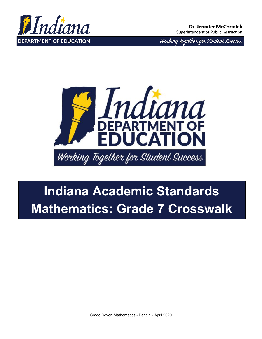

Working Together for Student Success



## **Indiana Academic Standards Mathematics: Grade 7 Crosswalk**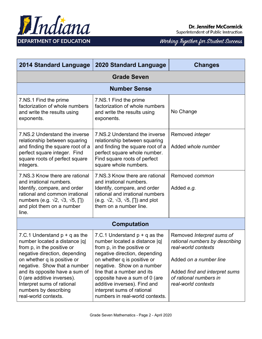

| <b>2014 Standard Language</b>                                                                                                                                                                                                                                                                                                                 | <b>2020 Standard Language</b>                                                                                                                                                                                                                                                                                                                                | <b>Changes</b>                                                                                                                                                                                 |  |
|-----------------------------------------------------------------------------------------------------------------------------------------------------------------------------------------------------------------------------------------------------------------------------------------------------------------------------------------------|--------------------------------------------------------------------------------------------------------------------------------------------------------------------------------------------------------------------------------------------------------------------------------------------------------------------------------------------------------------|------------------------------------------------------------------------------------------------------------------------------------------------------------------------------------------------|--|
| <b>Grade Seven</b>                                                                                                                                                                                                                                                                                                                            |                                                                                                                                                                                                                                                                                                                                                              |                                                                                                                                                                                                |  |
|                                                                                                                                                                                                                                                                                                                                               | <b>Number Sense</b>                                                                                                                                                                                                                                                                                                                                          |                                                                                                                                                                                                |  |
| 7.NS.1 Find the prime<br>factorization of whole numbers<br>and write the results using<br>exponents.                                                                                                                                                                                                                                          | 7.NS.1 Find the prime<br>factorization of whole numbers<br>and write the results using<br>exponents.                                                                                                                                                                                                                                                         | No Change                                                                                                                                                                                      |  |
| 7.NS.2 Understand the inverse<br>relationship between squaring<br>and finding the square root of a<br>perfect square integer. Find<br>square roots of perfect square<br>integers.                                                                                                                                                             | 7.NS.2 Understand the inverse<br>relationship between squaring<br>and finding the square root of a<br>perfect square whole number.<br>Find square roots of perfect<br>square whole numbers.                                                                                                                                                                  | Removed <i>integer</i><br>Added whole number                                                                                                                                                   |  |
| 7.NS.3 Know there are rational<br>and irrational numbers.<br>Identify, compare, and order<br>rational and common irrational<br>numbers (e.g. $\sqrt{2}$ , $\sqrt{3}$ , $\sqrt{5}$ , $\Box$ )<br>and plot them on a number<br>line.                                                                                                            | 7.NS.3 Know there are rational<br>and irrational numbers.<br>Identify, compare, and order<br>rational and irrational numbers<br>(e.g. $\sqrt{2}$ , $\sqrt{3}$ , $\sqrt{5}$ , $\Box$ ) and plot<br>them on a number line.                                                                                                                                     | Removed common<br>Added e.g.                                                                                                                                                                   |  |
|                                                                                                                                                                                                                                                                                                                                               | <b>Computation</b>                                                                                                                                                                                                                                                                                                                                           |                                                                                                                                                                                                |  |
| 7.C.1 Understand $p + q$ as the<br>number located a distance  q <br>from p, in the positive or<br>negative direction, depending<br>on whether q is positive or<br>negative. Show that a number<br>and its opposite have a sum of<br>0 (are additive inverses).<br>Interpret sums of rational<br>numbers by describing<br>real-world contexts. | 7.C.1 Understand $p + q$ as the<br>number located a distance  q <br>from p, in the positive or<br>negative direction, depending<br>on whether q is positive or<br>negative. Show on a number<br>line that a number and its<br>opposite have a sum of 0 (are<br>additive inverses). Find and<br>interpret sums of rational<br>numbers in real-world contexts. | Removed Interpret sums of<br>rational numbers by describing<br>real-world contexts<br>Added on a number line<br>Added find and interpret sums<br>of rational numbers in<br>real-world contexts |  |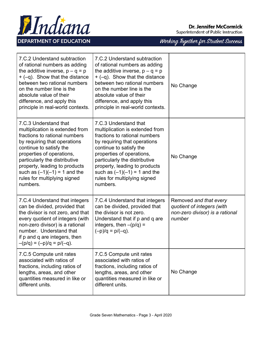



|  | Working Together for Student Success |
|--|--------------------------------------|
|  |                                      |

| 7.C.2 Understand subtraction<br>of rational numbers as adding<br>the additive inverse, $p - q = p$<br>$+$ (-q). Show that the distance<br>between two rational numbers<br>on the number line is the<br>absolute value of their<br>difference, and apply this<br>principle in real-world contexts.                                 | 7.C.2 Understand subtraction<br>of rational numbers as adding<br>the additive inverse, $p - q = p$<br>$+$ (-q). Show that the distance<br>between two rational numbers<br>on the number line is the<br>absolute value of their<br>difference, and apply this<br>principle in real-world contexts.                                 | No Change                                                                                         |
|-----------------------------------------------------------------------------------------------------------------------------------------------------------------------------------------------------------------------------------------------------------------------------------------------------------------------------------|-----------------------------------------------------------------------------------------------------------------------------------------------------------------------------------------------------------------------------------------------------------------------------------------------------------------------------------|---------------------------------------------------------------------------------------------------|
| 7.C.3 Understand that<br>multiplication is extended from<br>fractions to rational numbers<br>by requiring that operations<br>continue to satisfy the<br>properties of operations,<br>particularly the distributive<br>property, leading to products<br>such as $(-1)(-1) = 1$ and the<br>rules for multiplying signed<br>numbers. | 7.C.3 Understand that<br>multiplication is extended from<br>fractions to rational numbers<br>by requiring that operations<br>continue to satisfy the<br>properties of operations,<br>particularly the distributive<br>property, leading to products<br>such as $(-1)(-1) = 1$ and the<br>rules for multiplying signed<br>numbers. | No Change                                                                                         |
| 7.C.4 Understand that integers<br>can be divided, provided that<br>the divisor is not zero, and that<br>every quotient of integers (with<br>non-zero divisor) is a rational<br>number. Understand that<br>if p and q are integers, then<br>$-(p/q) = (-p)/q = p/(-q)$ .                                                           | 7.C.4 Understand that integers<br>can be divided, provided that<br>the divisor is not zero.<br>Understand that if p and q are<br>integers, then $-(p/q)$ =<br>$(-p)/q = p/(-q)$ .                                                                                                                                                 | Removed and that every<br>quotient of integers (with<br>non-zero divisor) is a rational<br>number |
| 7.C.5 Compute unit rates<br>associated with ratios of<br>fractions, including ratios of<br>lengths, areas, and other<br>quantities measured in like or<br>different units.                                                                                                                                                        | 7.C.5 Compute unit rates<br>associated with ratios of<br>fractions, including ratios of<br>lengths, areas, and other<br>quantities measured in like or<br>different units.                                                                                                                                                        | No Change                                                                                         |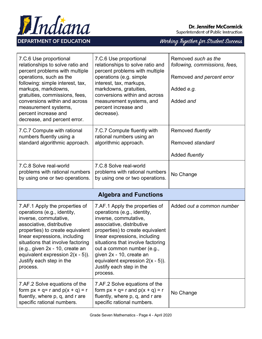

## **Dr. Jennifer McCormick**

Superintendent of Public Instruction

| 7.C.6 Use proportional<br>relationships to solve ratio and<br>percent problems with multiple<br>operations, such as the<br>following: simple interest, tax,<br>markups, markdowns,<br>gratuities, commissions, fees,<br>conversions within and across<br>measurement systems,<br>percent increase and<br>decrease, and percent error.           | 7.C.6 Use proportional<br>relationships to solve ratio and<br>percent problems with multiple<br>operations (e.g. simple<br>interest, tax, markups,<br>markdowns, gratuities,<br>conversions within and across<br>measurement systems, and<br>percent increase and<br>decrease).                                                                                        | Removed such as the<br>following, commissions, fees,<br>Removed and percent error<br>Added e.g.<br>Added and |
|-------------------------------------------------------------------------------------------------------------------------------------------------------------------------------------------------------------------------------------------------------------------------------------------------------------------------------------------------|------------------------------------------------------------------------------------------------------------------------------------------------------------------------------------------------------------------------------------------------------------------------------------------------------------------------------------------------------------------------|--------------------------------------------------------------------------------------------------------------|
| 7.C.7 Compute with rational<br>numbers fluently using a<br>standard algorithmic approach.                                                                                                                                                                                                                                                       | 7.C.7 Compute fluently with<br>rational numbers using an<br>algorithmic approach.                                                                                                                                                                                                                                                                                      | Removed fluently<br>Removed standard<br>Added fluently                                                       |
| 7.C.8 Solve real-world<br>problems with rational numbers<br>by using one or two operations.                                                                                                                                                                                                                                                     | 7.C.8 Solve real-world<br>problems with rational numbers<br>by using one or two operations.                                                                                                                                                                                                                                                                            | No Change                                                                                                    |
|                                                                                                                                                                                                                                                                                                                                                 | <b>Algebra and Functions</b>                                                                                                                                                                                                                                                                                                                                           |                                                                                                              |
| 7.AF.1 Apply the properties of<br>operations (e.g., identity,<br>inverse, commutative,<br>associative, distributive<br>properties) to create equivalent<br>linear expressions, including<br>situations that involve factoring<br>(e.g., given 2x - 10, create an<br>equivalent expression $2(x - 5)$ ).<br>Justify each step in the<br>process. | 7.AF.1 Apply the properties of<br>operations (e.g., identity,<br>inverse, commutative,<br>associative, distributive<br>properties) to create equivalent<br>linear expressions, including<br>situations that involve factoring<br>out a common number (e.g.,<br>given 2x - 10, create an<br>equivalent expression $2(x - 5)$ ).<br>Justify each step in the<br>process. | Added out a common number                                                                                    |
| 7.AF.2 Solve equations of the<br>form $px + q = r$ and $p(x + q) = r$<br>fluently, where p, q, and r are<br>specific rational numbers.                                                                                                                                                                                                          | 7.AF.2 Solve equations of the<br>form $px + q = r$ and $p(x + q) = r$<br>fluently, where p, q, and r are<br>specific rational numbers.                                                                                                                                                                                                                                 | No Change                                                                                                    |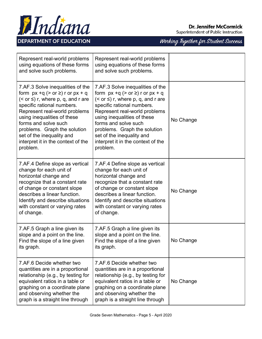



| Working Together for Student Success |  |  |
|--------------------------------------|--|--|
|                                      |  |  |

| Represent real-world problems<br>using equations of these forms<br>and solve such problems.                                                                                                                                                                                                                                                               | Represent real-world problems<br>using equations of these forms<br>and solve such problems.                                                                                                                                                                                                                                                               |           |
|-----------------------------------------------------------------------------------------------------------------------------------------------------------------------------------------------------------------------------------------------------------------------------------------------------------------------------------------------------------|-----------------------------------------------------------------------------------------------------------------------------------------------------------------------------------------------------------------------------------------------------------------------------------------------------------------------------------------------------------|-----------|
| 7.AF.3 Solve inequalities of the<br>form $px +q (> or z)$ r or $px + q$<br>$(<$ or $\leq$ ) r, where p, q, and r are<br>specific rational numbers.<br>Represent real-world problems<br>using inequalities of these<br>forms and solve such<br>problems. Graph the solution<br>set of the inequality and<br>interpret it in the context of the<br>problem. | 7.AF.3 Solve inequalities of the<br>form $px +q (> or z)$ r or $px + q$<br>$(<$ or $\leq$ ) r, where p, q, and r are<br>specific rational numbers.<br>Represent real-world problems<br>using inequalities of these<br>forms and solve such<br>problems. Graph the solution<br>set of the inequality and<br>interpret it in the context of the<br>problem. | No Change |
| 7.AF.4 Define slope as vertical<br>change for each unit of<br>horizontal change and<br>recognize that a constant rate<br>of change or constant slope<br>describes a linear function.<br>Identify and describe situations<br>with constant or varying rates<br>of change.                                                                                  | 7.AF.4 Define slope as vertical<br>change for each unit of<br>horizontal change and<br>recognize that a constant rate<br>of change or constant slope<br>describes a linear function.<br>Identify and describe situations<br>with constant or varying rates<br>of change.                                                                                  | No Change |
| 7.AF.5 Graph a line given its<br>slope and a point on the line.<br>Find the slope of a line given<br>its graph.                                                                                                                                                                                                                                           | 7.AF.5 Graph a line given its<br>slope and a point on the line.<br>Find the slope of a line given<br>its graph.                                                                                                                                                                                                                                           | No Change |
| 7.AF.6 Decide whether two<br>quantities are in a proportional<br>relationship (e.g., by testing for<br>equivalent ratios in a table or<br>graphing on a coordinate plane<br>and observing whether the<br>graph is a straight line through                                                                                                                 | 7.AF.6 Decide whether two<br>quantities are in a proportional<br>relationship (e.g., by testing for<br>equivalent ratios in a table or<br>graphing on a coordinate plane<br>and observing whether the<br>graph is a straight line through                                                                                                                 | No Change |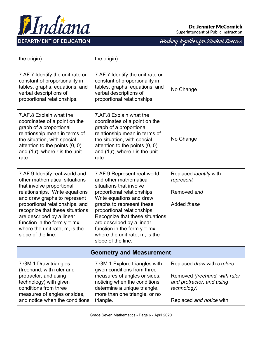

**Dr. Jennifer McCormick** 

Superintendent of Public Instruction

| the origin).                                                                                                                                                                                                                                                                                                                                                 | the origin).                                                                                                                                                                                                                                                                                                                                                       |                                                                                                                                      |  |
|--------------------------------------------------------------------------------------------------------------------------------------------------------------------------------------------------------------------------------------------------------------------------------------------------------------------------------------------------------------|--------------------------------------------------------------------------------------------------------------------------------------------------------------------------------------------------------------------------------------------------------------------------------------------------------------------------------------------------------------------|--------------------------------------------------------------------------------------------------------------------------------------|--|
| 7.AF.7 Identify the unit rate or<br>constant of proportionality in<br>tables, graphs, equations, and<br>verbal descriptions of<br>proportional relationships.                                                                                                                                                                                                | 7.AF.7 Identify the unit rate or<br>constant of proportionality in<br>tables, graphs, equations, and<br>verbal descriptions of<br>proportional relationships.                                                                                                                                                                                                      | No Change                                                                                                                            |  |
| 7.AF.8 Explain what the<br>coordinates of a point on the<br>graph of a proportional<br>relationship mean in terms of<br>the situation, with special<br>attention to the points $(0, 0)$<br>and $(1,r)$ , where r is the unit<br>rate.                                                                                                                        | 7.AF.8 Explain what the<br>coordinates of a point on the<br>graph of a proportional<br>relationship mean in terms of<br>the situation, with special<br>attention to the points $(0, 0)$<br>and $(1,r)$ , where r is the unit<br>rate.                                                                                                                              | No Change                                                                                                                            |  |
| 7.AF.9 Identify real-world and<br>other mathematical situations<br>that involve proportional<br>relationships. Write equations<br>and draw graphs to represent<br>proportional relationships. and<br>recognize that these situations<br>are described by a linear<br>function in the form $y = mx$ ,<br>where the unit rate, m, is the<br>slope of the line. | 7.AF.9 Represent real-world<br>and other mathematical<br>situations that involve<br>proportional relationships.<br>Write equations and draw<br>graphs to represent these<br>proportional relationships.<br>Recognize that these situations<br>are described by a linear<br>function in the form $y = mx$ ,<br>where the unit rate, m, is the<br>slope of the line. | Replaced <i>identify</i> with<br>represent<br>Removed and<br>Added these                                                             |  |
| <b>Geometry and Measurement</b>                                                                                                                                                                                                                                                                                                                              |                                                                                                                                                                                                                                                                                                                                                                    |                                                                                                                                      |  |
| 7. GM. 1 Draw triangles<br>(freehand, with ruler and<br>protractor, and using<br>technology) with given<br>conditions from three<br>measures of angles or sides,<br>and notice when the conditions                                                                                                                                                           | 7. GM. 1 Explore triangles with<br>given conditions from three<br>measures of angles or sides,<br>noticing when the conditions<br>determine a unique triangle,<br>more than one triangle, or no<br>triangle.                                                                                                                                                       | Replaced draw with explore.<br>Removed (freehand, with ruler<br>and protractor, and using<br>technology)<br>Replaced and notice with |  |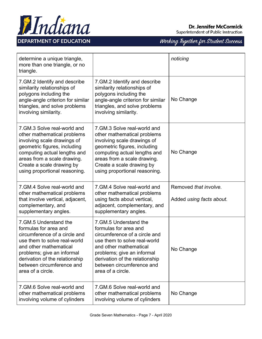

**Dr. Jennifer McCormick** 

Superintendent of Public Instruction

| determine a unique triangle,<br>more than one triangle, or no<br>triangle.                                                                                                                                                                                   |                                                                                                                                                                                                                                                              | noticing                                          |
|--------------------------------------------------------------------------------------------------------------------------------------------------------------------------------------------------------------------------------------------------------------|--------------------------------------------------------------------------------------------------------------------------------------------------------------------------------------------------------------------------------------------------------------|---------------------------------------------------|
| 7. GM.2 Identify and describe<br>similarity relationships of<br>polygons including the<br>angle-angle criterion for similar<br>triangles, and solve problems<br>involving similarity.                                                                        | 7. GM.2 Identify and describe<br>similarity relationships of<br>polygons including the<br>angle-angle criterion for similar<br>triangles, and solve problems<br>involving similarity.                                                                        | No Change                                         |
| 7.GM.3 Solve real-world and<br>other mathematical problems<br>involving scale drawings of<br>geometric figures, including<br>computing actual lengths and<br>areas from a scale drawing.<br>Create a scale drawing by<br>using proportional reasoning.       | 7. GM.3 Solve real-world and<br>other mathematical problems<br>involving scale drawings of<br>geometric figures, including<br>computing actual lengths and<br>areas from a scale drawing.<br>Create a scale drawing by<br>using proportional reasoning.      | No Change                                         |
| 7.GM.4 Solve real-world and<br>other mathematical problems<br>that involve vertical, adjacent,<br>complementary, and<br>supplementary angles.                                                                                                                | 7.GM.4 Solve real-world and<br>other mathematical problems<br>using facts about vertical,<br>adjacent, complementary, and<br>supplementary angles.                                                                                                           | Removed that involve.<br>Added using facts about. |
| 7. GM.5 Understand the<br>formulas for area and<br>circumference of a circle and<br>use them to solve real-world<br>and other mathematical<br>problems; give an informal<br>derivation of the relationship<br>between circumference and<br>area of a circle. | 7. GM.5 Understand the<br>formulas for area and<br>circumference of a circle and<br>use them to solve real-world<br>and other mathematical<br>problems; give an informal<br>derivation of the relationship<br>between circumference and<br>area of a circle. | No Change                                         |
| 7. GM.6 Solve real-world and<br>other mathematical problems<br>involving volume of cylinders                                                                                                                                                                 | 7. GM.6 Solve real-world and<br>other mathematical problems<br>involving volume of cylinders                                                                                                                                                                 | No Change                                         |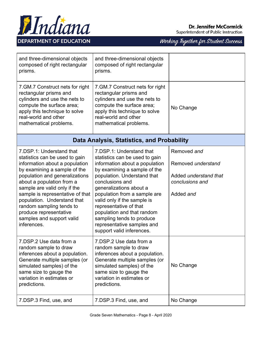

| and three-dimensional objects<br>composed of right rectangular<br>prisms.                                                                                                                                                                                                                                                                                                                        | and three-dimensional objects<br>composed of right rectangular<br>prisms.                                                                                                                                                                                                                                                                                                                                                |                                                                                            |
|--------------------------------------------------------------------------------------------------------------------------------------------------------------------------------------------------------------------------------------------------------------------------------------------------------------------------------------------------------------------------------------------------|--------------------------------------------------------------------------------------------------------------------------------------------------------------------------------------------------------------------------------------------------------------------------------------------------------------------------------------------------------------------------------------------------------------------------|--------------------------------------------------------------------------------------------|
| 7. GM. 7 Construct nets for right<br>rectangular prisms and<br>cylinders and use the nets to<br>compute the surface area;<br>apply this technique to solve<br>real-world and other<br>mathematical problems.                                                                                                                                                                                     | 7. GM. 7 Construct nets for right<br>rectangular prisms and<br>cylinders and use the nets to<br>compute the surface area;<br>apply this technique to solve<br>real-world and other<br>mathematical problems.                                                                                                                                                                                                             | No Change                                                                                  |
|                                                                                                                                                                                                                                                                                                                                                                                                  | Data Analysis, Statistics, and Probability                                                                                                                                                                                                                                                                                                                                                                               |                                                                                            |
| 7.DSP.1: Understand that<br>statistics can be used to gain<br>information about a population<br>by examining a sample of the<br>population and generalizations<br>about a population from a<br>sample are valid only if the<br>sample is representative of that<br>population. Understand that<br>random sampling tends to<br>produce representative<br>samples and support valid<br>inferences. | 7.DSP.1: Understand that<br>statistics can be used to gain<br>information about a population<br>by examining a sample of the<br>population. Understand that<br>conclusions and<br>generalizations about a<br>population from a sample are<br>valid only if the sample is<br>representative of that<br>population and that random<br>sampling tends to produce<br>representative samples and<br>support valid inferences. | Removed and<br>Removed understand<br>Added understand that<br>conclusions and<br>Added and |
| 7.DSP.2 Use data from a<br>random sample to draw<br>inferences about a population.<br>Generate multiple samples (or<br>simulated samples) of the<br>same size to gauge the<br>variation in estimates or<br>predictions.                                                                                                                                                                          | 7.DSP.2 Use data from a<br>random sample to draw<br>inferences about a population.<br>Generate multiple samples (or<br>simulated samples) of the<br>same size to gauge the<br>variation in estimates or<br>predictions.                                                                                                                                                                                                  | No Change                                                                                  |
| 7.DSP.3 Find, use, and                                                                                                                                                                                                                                                                                                                                                                           | 7.DSP.3 Find, use, and                                                                                                                                                                                                                                                                                                                                                                                                   | No Change                                                                                  |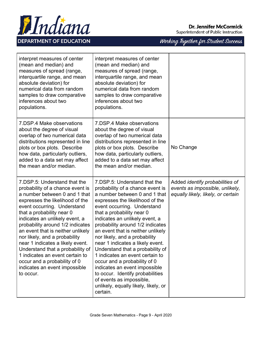

| interpret measures of center<br>(mean and median) and<br>measures of spread (range,<br>interquartile range, and mean<br>absolute deviation) for<br>numerical data from random<br>samples to draw comparative<br>inferences about two<br>populations.                                                                                                                                                                                                                                                                                  | interpret measures of center<br>(mean and median) and<br>measures of spread (range,<br>interquartile range, and mean<br>absolute deviation) for<br>numerical data from random<br>samples to draw comparative<br>inferences about two<br>populations.                                                                                                                                                                                                                                                                                                                                                                                          |                                                                                                                 |
|---------------------------------------------------------------------------------------------------------------------------------------------------------------------------------------------------------------------------------------------------------------------------------------------------------------------------------------------------------------------------------------------------------------------------------------------------------------------------------------------------------------------------------------|-----------------------------------------------------------------------------------------------------------------------------------------------------------------------------------------------------------------------------------------------------------------------------------------------------------------------------------------------------------------------------------------------------------------------------------------------------------------------------------------------------------------------------------------------------------------------------------------------------------------------------------------------|-----------------------------------------------------------------------------------------------------------------|
| 7. DSP.4 Make observations<br>about the degree of visual<br>overlap of two numerical data<br>distributions represented in line<br>plots or box plots. Describe<br>how data, particularly outliers,<br>added to a data set may affect<br>the mean and/or median.                                                                                                                                                                                                                                                                       | 7. DSP.4 Make observations<br>about the degree of visual<br>overlap of two numerical data<br>distributions represented in line<br>plots or box plots. Describe<br>how data, particularly outliers,<br>added to a data set may affect<br>the mean and/or median.                                                                                                                                                                                                                                                                                                                                                                               | No Change                                                                                                       |
| 7.DSP.5: Understand that the<br>probability of a chance event is<br>a number between 0 and 1 that<br>expresses the likelihood of the<br>event occurring. Understand<br>that a probability near 0<br>indicates an unlikely event, a<br>probability around 1/2 indicates<br>an event that is neither unlikely<br>nor likely, and a probability<br>near 1 indicates a likely event.<br>Understand that a probability of<br>1 indicates an event certain to<br>occur and a probability of 0<br>indicates an event impossible<br>to occur. | 7. DSP.5: Understand that the<br>probability of a chance event is<br>a number between 0 and 1 that<br>expresses the likelihood of the<br>event occurring. Understand<br>that a probability near 0<br>indicates an unlikely event, a<br>probability around 1/2 indicates<br>an event that is neither unlikely<br>nor likely, and a probability<br>near 1 indicates a likely event.<br>Understand that a probability of<br>1 indicates an event certain to<br>occur and a probability of 0<br>indicates an event impossible<br>to occur. Identify probabilities<br>of events as impossible,<br>unlikely, equally likely, likely, or<br>certain. | Added <i>identify probabilities of</i><br>events as impossible, unlikely,<br>equally likely, likely, or certain |